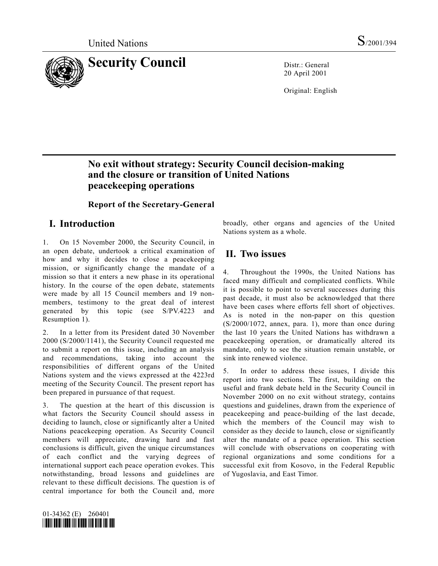

20 April 2001

Original: English

## **No exit without strategy: Security Council decision-making and the closure or transition of United Nations peacekeeping operations**

## **Report of the Secretary-General**

## **I. Introduction**

1. On 15 November 2000, the Security Council, in an open debate, undertook a critical examination of how and why it decides to close a peacekeeping mission, or significantly change the mandate of a mission so that it enters a new phase in its operational history. In the course of the open debate, statements were made by all 15 Council members and 19 nonmembers, testimony to the great deal of interest generated by this topic (see S/PV.4223 and Resumption 1).

2. In a letter from its President dated 30 November 2000 (S/2000/1141), the Security Council requested me to submit a report on this issue, including an analysis and recommendations, taking into account the responsibilities of different organs of the United Nations system and the views expressed at the 4223rd meeting of the Security Council. The present report has been prepared in pursuance of that request.

3. The question at the heart of this discussion is what factors the Security Council should assess in deciding to launch, close or significantly alter a United Nations peacekeeping operation. As Security Council members will appreciate, drawing hard and fast conclusions is difficult, given the unique circumstances of each conflict and the varying degrees of international support each peace operation evokes. This notwithstanding, broad lessons and guidelines are relevant to these difficult decisions. The question is of central importance for both the Council and, more

broadly, other organs and agencies of the United Nations system as a whole.

## **II. Two issues**

4. Throughout the 1990s, the United Nations has faced many difficult and complicated conflicts. While it is possible to point to several successes during this past decade, it must also be acknowledged that there have been cases where efforts fell short of objectives. As is noted in the non-paper on this question (S/2000/1072, annex, para. 1), more than once during the last 10 years the United Nations has withdrawn a peacekeeping operation, or dramatically altered its mandate, only to see the situation remain unstable, or sink into renewed violence.

5. In order to address these issues, I divide this report into two sections. The first, building on the useful and frank debate held in the Security Council in November 2000 on no exit without strategy, contains questions and guidelines, drawn from the experience of peacekeeping and peace-building of the last decade, which the members of the Council may wish to consider as they decide to launch, close or significantly alter the mandate of a peace operation. This section will conclude with observations on cooperating with regional organizations and some conditions for a successful exit from Kosovo, in the Federal Republic of Yugoslavia, and East Timor.

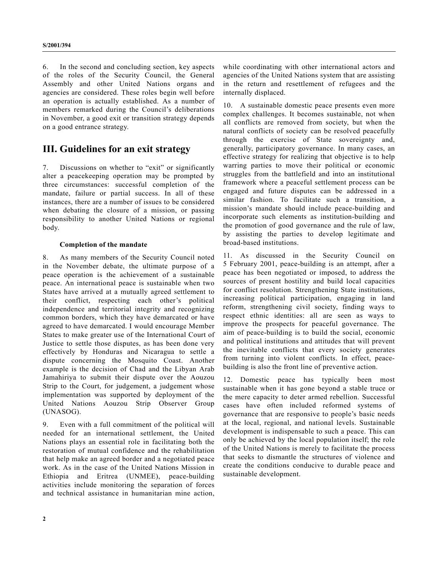6. In the second and concluding section, key aspects of the roles of the Security Council, the General Assembly and other United Nations organs and agencies are considered. These roles begin well before an operation is actually established. As a number of members remarked during the Council's deliberations in November, a good exit or transition strategy depends on a good entrance strategy.

## **III. Guidelines for an exit strategy**

7. Discussions on whether to "exit" or significantly alter a peacekeeping operation may be prompted by three circumstances: successful completion of the mandate, failure or partial success. In all of these instances, there are a number of issues to be considered when debating the closure of a mission, or passing responsibility to another United Nations or regional body.

#### **Completion of the mandate**

8. As many members of the Security Council noted in the November debate, the ultimate purpose of a peace operation is the achievement of a sustainable peace. An international peace is sustainable when two States have arrived at a mutually agreed settlement to their conflict, respecting each other's political independence and territorial integrity and recognizing common borders, which they have demarcated or have agreed to have demarcated. I would encourage Member States to make greater use of the International Court of Justice to settle those disputes, as has been done very effectively by Honduras and Nicaragua to settle a dispute concerning the Mosquito Coast. Another example is the decision of Chad and the Libyan Arab Jamahiriya to submit their dispute over the Aouzou Strip to the Court, for judgement, a judgement whose implementation was supported by deployment of the United Nations Aouzou Strip Observer Group (UNASOG).

9. Even with a full commitment of the political will needed for an international settlement, the United Nations plays an essential role in facilitating both the restoration of mutual confidence and the rehabilitation that help make an agreed border and a negotiated peace work. As in the case of the United Nations Mission in Ethiopia and Eritrea (UNMEE), peace-building activities include monitoring the separation of forces and technical assistance in humanitarian mine action, while coordinating with other international actors and agencies of the United Nations system that are assisting in the return and resettlement of refugees and the internally displaced.

10. A sustainable domestic peace presents even more complex challenges. It becomes sustainable, not when all conflicts are removed from society, but when the natural conflicts of society can be resolved peacefully through the exercise of State sovereignty and, generally, participatory governance. In many cases, an effective strategy for realizing that objective is to help warring parties to move their political or economic struggles from the battlefield and into an institutional framework where a peaceful settlement process can be engaged and future disputes can be addressed in a similar fashion. To facilitate such a transition, a mission's mandate should include peace-building and incorporate such elements as institution-building and the promotion of good governance and the rule of law, by assisting the parties to develop legitimate and broad-based institutions.

11. As discussed in the Security Council on 5 February 2001, peace-building is an attempt, after a peace has been negotiated or imposed, to address the sources of present hostility and build local capacities for conflict resolution. Strengthening State institutions, increasing political participation, engaging in land reform, strengthening civil society, finding ways to respect ethnic identities: all are seen as ways to improve the prospects for peaceful governance. The aim of peace-building is to build the social, economic and political institutions and attitudes that will prevent the inevitable conflicts that every society generates from turning into violent conflicts. In effect, peacebuilding is also the front line of preventive action.

12. Domestic peace has typically been most sustainable when it has gone beyond a stable truce or the mere capacity to deter armed rebellion. Successful cases have often included reformed systems of governance that are responsive to people's basic needs at the local, regional, and national levels. Sustainable development is indispensable to such a peace. This can only be achieved by the local population itself; the role of the United Nations is merely to facilitate the process that seeks to dismantle the structures of violence and create the conditions conducive to durable peace and sustainable development.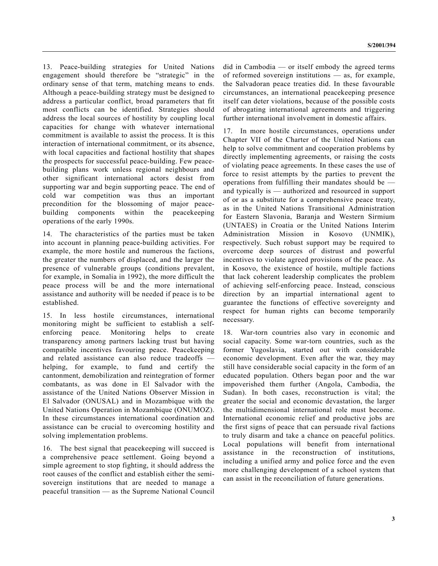13. Peace-building strategies for United Nations engagement should therefore be "strategic" in the ordinary sense of that term, matching means to ends. Although a peace-building strategy must be designed to address a particular conflict, broad parameters that fit most conflicts can be identified. Strategies should address the local sources of hostility by coupling local capacities for change with whatever international commitment is available to assist the process. It is this interaction of international commitment, or its absence, with local capacities and factional hostility that shapes the prospects for successful peace-building. Few peacebuilding plans work unless regional neighbours and other significant international actors desist from supporting war and begin supporting peace. The end of cold war competition was thus an important precondition for the blossoming of major peacebuilding components within the peacekeeping operations of the early 1990s.

14. The characteristics of the parties must be taken into account in planning peace-building activities. For example, the more hostile and numerous the factions, the greater the numbers of displaced, and the larger the presence of vulnerable groups (conditions prevalent, for example, in Somalia in 1992), the more difficult the peace process will be and the more international assistance and authority will be needed if peace is to be established.

15. In less hostile circumstances, international monitoring might be sufficient to establish a selfenforcing peace. Monitoring helps to create transparency among partners lacking trust but having compatible incentives favouring peace. Peacekeeping and related assistance can also reduce tradeoffs helping, for example, to fund and certify the cantonment, demobilization and reintegration of former combatants, as was done in El Salvador with the assistance of the United Nations Observer Mission in El Salvador (ONUSAL) and in Mozambique with the United Nations Operation in Mozambique (ONUMOZ). In these circumstances international coordination and assistance can be crucial to overcoming hostility and solving implementation problems.

16. The best signal that peacekeeping will succeed is a comprehensive peace settlement. Going beyond a simple agreement to stop fighting, it should address the root causes of the conflict and establish either the semisovereign institutions that are needed to manage a peaceful transition — as the Supreme National Council did in Cambodia — or itself embody the agreed terms of reformed sovereign institutions — as, for example, the Salvadoran peace treaties did. In these favourable circumstances, an international peacekeeping presence itself can deter violations, because of the possible costs of abrogating international agreements and triggering further international involvement in domestic affairs.

17. In more hostile circumstances, operations under Chapter VII of the Charter of the United Nations can help to solve commitment and cooperation problems by directly implementing agreements, or raising the costs of violating peace agreements. In these cases the use of force to resist attempts by the parties to prevent the operations from fulfilling their mandates should be  $$ and typically is — authorized and resourced in support of or as a substitute for a comprehensive peace treaty, as in the United Nations Transitional Administration for Eastern Slavonia, Baranja and Western Sirmium (UNTAES) in Croatia or the United Nations Interim Administration Mission in Kosovo (UNMIK), respectively. Such robust support may be required to overcome deep sources of distrust and powerful incentives to violate agreed provisions of the peace. As in Kosovo, the existence of hostile, multiple factions that lack coherent leadership complicates the problem of achieving self-enforcing peace. Instead, conscious direction by an impartial international agent to guarantee the functions of effective sovereignty and respect for human rights can become temporarily necessary.

18. War-torn countries also vary in economic and social capacity. Some war-torn countries, such as the former Yugoslavia, started out with considerable economic development. Even after the war, they may still have considerable social capacity in the form of an educated population. Others began poor and the war impoverished them further (Angola, Cambodia, the Sudan). In both cases, reconstruction is vital; the greater the social and economic devastation, the larger the multidimensional international role must become. International economic relief and productive jobs are the first signs of peace that can persuade rival factions to truly disarm and take a chance on peaceful politics. Local populations will benefit from international assistance in the reconstruction of institutions, including a unified army and police force and the even more challenging development of a school system that can assist in the reconciliation of future generations.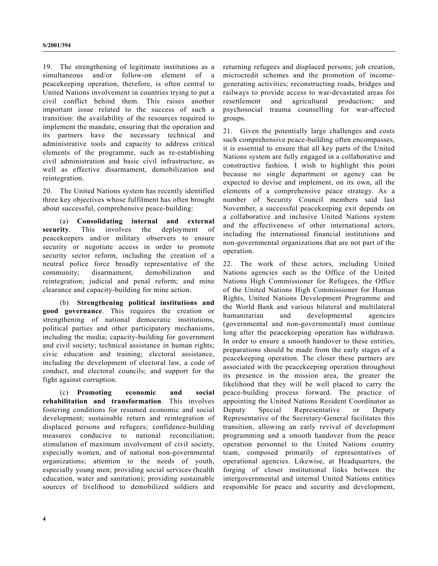19. The strengthening of legitimate institutions as a simultaneous and/or follow-on element of a peacekeeping operation, therefore, is often central to United Nations involvement in countries trying to put a civil conflict behind them. This raises another important issue related to the success of such a transition: the availability of the resources required to implement the mandate, ensuring that the operation and its partners have the necessary technical and administrative tools and capacity to address critical elements of the programme, such as re-establishing civil administration and basic civil infrastructure, as well as effective disarmament, demobilization and reintegration.

20. The United Nations system has recently identified three key objectives whose fulfilment has often brought about successful, comprehensive peace-building:

(a) **Consolidating internal and external security**. This involves the deployment of peacekeepers and/or military observers to ensure security or negotiate access in order to promote security sector reform, including the creation of a neutral police force broadly representative of the community; disarmament, demobilization and reintegration; judicial and penal reform; and mine clearance and capacity-building for mine action.

(b) **Strengthening political institutions and good governance**. This requires the creation or strengthening of national democratic institutions, political parties and other participatory mechanisms, including the media; capacity-building for government and civil society; technical assistance in human rights; civic education and training; electoral assistance, including the development of electoral law, a code of conduct, and electoral councils; and support for the fight against corruption.

(c) **Promoting economic and social rehabilitation and transformation**. This involves fostering conditions for resumed economic and social development; sustainable return and reintegration of displaced persons and refugees; confidence-building measures conducive to national reconciliation; stimulation of maximum involvement of civil society, especially women, and of national non-governmental organizations; attention to the needs of youth, especially young men; providing social services (health education, water and sanitation); providing sustainable sources of livelihood to demobilized soldiers and

returning refugees and displaced persons; job creation, microcredit schemes and the promotion of incomegenerating activities; reconstructing roads, bridges and railways to provide access to war-devastated areas for resettlement and agricultural production; and psychosocial trauma counselling for war-affected groups.

21. Given the potentially large challenges and costs such comprehensive peace-building often encompasses, it is essential to ensure that all key parts of the United Nations system are fully engaged in a collaborative and constructive fashion. I wish to highlight this point because no single department or agency can be expected to devise and implement, on its own, all the elements of a comprehensive peace strategy. As a number of Security Council members said last November, a successful peacekeeping exit depends on a collaborative and inclusive United Nations system and the effectiveness of other international actors, including the international financial institutions and non-governmental organizations that are not part of the operation.

22. The work of these actors, including United Nations agencies such as the Office of the United Nations High Commissioner for Refugees, the Office of the United Nations High Commissioner for Human Rights, United Nations Development Programme and the World Bank and various bilateral and multilateral humanitarian and developmental agencies (governmental and non-governmental) must continue long after the peacekeeping operation has withdrawn. In order to ensure a smooth handover to these entities, preparations should be made from the early stages of a peacekeeping operation. The closer these partners are associated with the peacekeeping operation throughout its presence in the mission area, the greater the likelihood that they will be well placed to carry the peace-building process forward. The practice of appointing the United Nations Resident Coordinator as Deputy Special Representative or Deputy Representative of the Secretary-General facilitates this transition, allowing an early revival of development programming and a smooth handover from the peace operation personnel to the United Nations country team, composed primarily of representatives of operational agencies. Likewise, at Headquarters, the forging of closer institutional links between the intergovernmental and internal United Nations entities responsible for peace and security and development,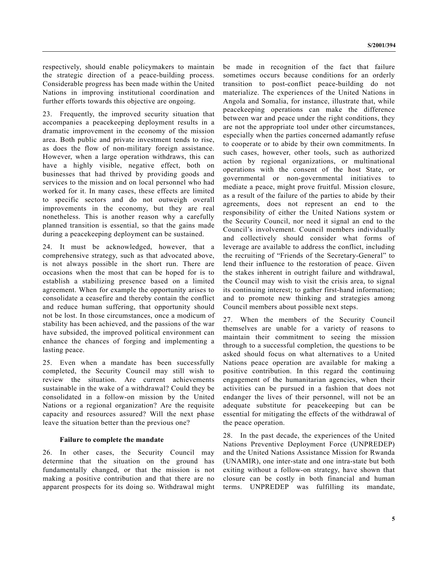respectively, should enable policymakers to maintain the strategic direction of a peace-building process. Considerable progress has been made within the United Nations in improving institutional coordination and further efforts towards this objective are ongoing.

23. Frequently, the improved security situation that accompanies a peacekeeping deployment results in a dramatic improvement in the economy of the mission area. Both public and private investment tends to rise, as does the flow of non-military foreign assistance. However, when a large operation withdraws, this can have a highly visible, negative effect, both on businesses that had thrived by providing goods and services to the mission and on local personnel who had worked for it. In many cases, these effects are limited to specific sectors and do not outweigh overall improvements in the economy, but they are real nonetheless. This is another reason why a carefully planned transition is essential, so that the gains made during a peacekeeping deployment can be sustained.

24. It must be acknowledged, however, that a comprehensive strategy, such as that advocated above, is not always possible in the short run. There are occasions when the most that can be hoped for is to establish a stabilizing presence based on a limited agreement. When for example the opportunity arises to consolidate a ceasefire and thereby contain the conflict and reduce human suffering, that opportunity should not be lost. In those circumstances, once a modicum of stability has been achieved, and the passions of the war have subsided, the improved political environment can enhance the chances of forging and implementing a lasting peace.

25. Even when a mandate has been successfully completed, the Security Council may still wish to review the situation. Are current achievements sustainable in the wake of a withdrawal? Could they be consolidated in a follow-on mission by the United Nations or a regional organization? Are the requisite capacity and resources assured? Will the next phase leave the situation better than the previous one?

#### **Failure to complete the mandate**

26. In other cases, the Security Council may determine that the situation on the ground has fundamentally changed, or that the mission is not making a positive contribution and that there are no apparent prospects for its doing so. Withdrawal might be made in recognition of the fact that failure sometimes occurs because conditions for an orderly transition to post-conflict peace-building do not materialize. The experiences of the United Nations in Angola and Somalia, for instance, illustrate that, while peacekeeping operations can make the difference between war and peace under the right conditions, they are not the appropriate tool under other circumstances, especially when the parties concerned adamantly refuse to cooperate or to abide by their own commitments. In such cases, however, other tools, such as authorized action by regional organizations, or multinational operations with the consent of the host State, or governmental or non-governmental initiatives to mediate a peace, might prove fruitful. Mission closure, as a result of the failure of the parties to abide by their agreements, does not represent an end to the responsibility of either the United Nations system or the Security Council, nor need it signal an end to the Council's involvement. Council members individually and collectively should consider what forms of leverage are available to address the conflict, including the recruiting of "Friends of the Secretary-General" to lend their influence to the restoration of peace. Given the stakes inherent in outright failure and withdrawal, the Council may wish to visit the crisis area, to signal its continuing interest; to gather first-hand information; and to promote new thinking and strategies among Council members about possible next steps.

27. When the members of the Security Council themselves are unable for a variety of reasons to maintain their commitment to seeing the mission through to a successful completion, the questions to be asked should focus on what alternatives to a United Nations peace operation are available for making a positive contribution. In this regard the continuing engagement of the humanitarian agencies, when their activities can be pursued in a fashion that does not endanger the lives of their personnel, will not be an adequate substitute for peacekeeping but can be essential for mitigating the effects of the withdrawal of the peace operation.

28. In the past decade, the experiences of the United Nations Preventive Deployment Force (UNPREDEP) and the United Nations Assistance Mission for Rwanda (UNAMIR), one inter-state and one intra-state but both exiting without a follow-on strategy, have shown that closure can be costly in both financial and human terms. UNPREDEP was fulfilling its mandate,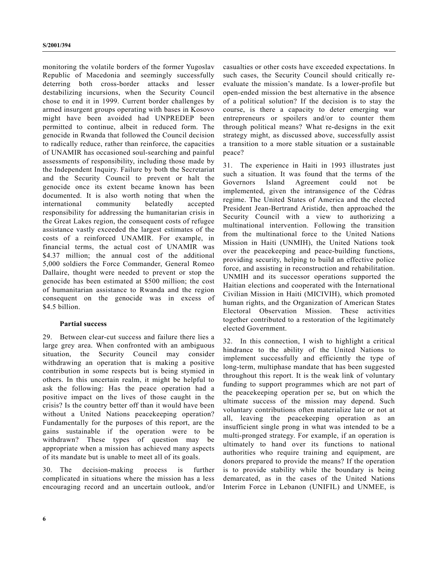monitoring the volatile borders of the former Yugoslav Republic of Macedonia and seemingly successfully deterring both cross-border attacks and lesser destabilizing incursions, when the Security Council chose to end it in 1999. Current border challenges by armed insurgent groups operating with bases in Kosovo might have been avoided had UNPREDEP been permitted to continue, albeit in reduced form. The genocide in Rwanda that followed the Council decision to radically reduce, rather than reinforce, the capacities of UNAMIR has occasioned soul-searching and painful assessments of responsibility, including those made by the Independent Inquiry. Failure by both the Secretariat and the Security Council to prevent or halt the genocide once its extent became known has been documented. It is also worth noting that when the international community belatedly accepted responsibility for addressing the humanitarian crisis in the Great Lakes region, the consequent costs of refugee assistance vastly exceeded the largest estimates of the costs of a reinforced UNAMIR. For example, in financial terms, the actual cost of UNAMIR was \$4.37 million; the annual cost of the additional 5,000 soldiers the Force Commander, General Romeo Dallaire, thought were needed to prevent or stop the genocide has been estimated at \$500 million; the cost of humanitarian assistance to Rwanda and the region consequent on the genocide was in excess of \$4.5 billion.

#### **Partial success**

29. Between clear-cut success and failure there lies a large grey area. When confronted with an ambiguous situation, the Security Council may consider withdrawing an operation that is making a positive contribution in some respects but is being stymied in others. In this uncertain realm, it might be helpful to ask the following: Has the peace operation had a positive impact on the lives of those caught in the crisis? Is the country better off than it would have been without a United Nations peacekeeping operation? Fundamentally for the purposes of this report, are the gains sustainable if the operation were to be withdrawn? These types of question may be appropriate when a mission has achieved many aspects of its mandate but is unable to meet all of its goals.

30. The decision-making process is further complicated in situations where the mission has a less encouraging record and an uncertain outlook, and/or

casualties or other costs have exceeded expectations. In such cases, the Security Council should critically reevaluate the mission's mandate. Is a lower-profile but open-ended mission the best alternative in the absence of a political solution? If the decision is to stay the course, is there a capacity to deter emerging war entrepreneurs or spoilers and/or to counter them through political means? What re-designs in the exit strategy might, as discussed above, successfully assist a transition to a more stable situation or a sustainable peace?

31. The experience in Haiti in 1993 illustrates just such a situation. It was found that the terms of the Governors Island Agreement could not be implemented, given the intransigence of the Cédras regime. The United States of America and the elected President Jean-Bertrand Aristide, then approached the Security Council with a view to authorizing a multinational intervention. Following the transition from the multinational force to the United Nations Mission in Haiti (UNMIH), the United Nations took over the peacekeeping and peace-building functions, providing security, helping to build an effective police force, and assisting in reconstruction and rehabilitation. UNMIH and its successor operations supported the Haitian elections and cooperated with the International Civilian Mission in Haiti (MICIVIH), which promoted human rights, and the Organization of American States Electoral Observation Mission. These activities together contributed to a restoration of the legitimately elected Government.

32. In this connection, I wish to highlight a critical hindrance to the ability of the United Nations to implement successfully and efficiently the type of long-term, multiphase mandate that has been suggested throughout this report. It is the weak link of voluntary funding to support programmes which are not part of the peacekeeping operation per se, but on which the ultimate success of the mission may depend. Such voluntary contributions often materialize late or not at all, leaving the peacekeeping operation as an insufficient single prong in what was intended to be a multi-pronged strategy. For example, if an operation is ultimately to hand over its functions to national authorities who require training and equipment, are donors prepared to provide the means? If the operation is to provide stability while the boundary is being demarcated, as in the cases of the United Nations Interim Force in Lebanon (UNIFIL) and UNMEE, is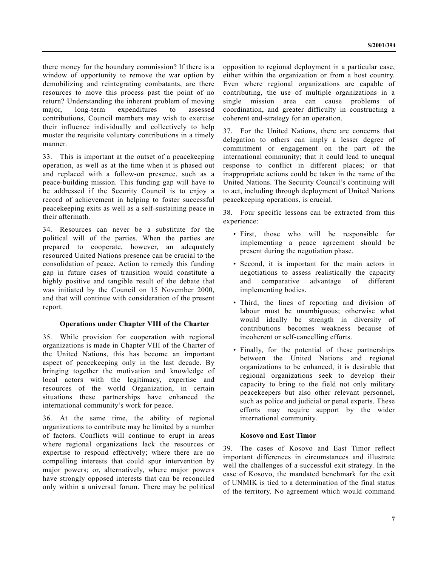there money for the boundary commission? If there is a window of opportunity to remove the war option by demobilizing and reintegrating combatants, are there resources to move this process past the point of no return? Understanding the inherent problem of moving major, long-term expenditures to assessed contributions, Council members may wish to exercise their influence individually and collectively to help muster the requisite voluntary contributions in a timely manner.

33. This is important at the outset of a peacekeeping operation, as well as at the time when it is phased out and replaced with a follow-on presence, such as a peace-building mission. This funding gap will have to be addressed if the Security Council is to enjoy a record of achievement in helping to foster successful peacekeeping exits as well as a self-sustaining peace in their aftermath.

34. Resources can never be a substitute for the political will of the parties. When the parties are prepared to cooperate, however, an adequately resourced United Nations presence can be crucial to the consolidation of peace. Action to remedy this funding gap in future cases of transition would constitute a highly positive and tangible result of the debate that was initiated by the Council on 15 November 2000, and that will continue with consideration of the present report.

### **Operations under Chapter VIII of the Charter**

35. While provision for cooperation with regional organizations is made in Chapter VIII of the Charter of the United Nations, this has become an important aspect of peacekeeping only in the last decade. By bringing together the motivation and knowledge of local actors with the legitimacy, expertise and resources of the world Organization, in certain situations these partnerships have enhanced the international community's work for peace.

36. At the same time, the ability of regional organizations to contribute may be limited by a number of factors. Conflicts will continue to erupt in areas where regional organizations lack the resources or expertise to respond effectively; where there are no compelling interests that could spur intervention by major powers; or, alternatively, where major powers have strongly opposed interests that can be reconciled only within a universal forum. There may be political

opposition to regional deployment in a particular case, either within the organization or from a host country. Even where regional organizations are capable of contributing, the use of multiple organizations in a single mission area can cause problems of coordination, and greater difficulty in constructing a coherent end-strategy for an operation.

37. For the United Nations, there are concerns that delegation to others can imply a lesser degree of commitment or engagement on the part of the international community; that it could lead to unequal response to conflict in different places; or that inappropriate actions could be taken in the name of the United Nations. The Security Council's continuing will to act, including through deployment of United Nations peacekeeping operations, is crucial.

38. Four specific lessons can be extracted from this experience:

- First, those who will be responsible for implementing a peace agreement should be present during the negotiation phase.
- Second, it is important for the main actors in negotiations to assess realistically the capacity and comparative advantage of different implementing bodies.
- Third, the lines of reporting and division of labour must be unambiguous; otherwise what would ideally be strength in diversity of contributions becomes weakness because of incoherent or self-cancelling efforts.
- Finally, for the potential of these partnerships between the United Nations and regional organizations to be enhanced, it is desirable that regional organizations seek to develop their capacity to bring to the field not only military peacekeepers but also other relevant personnel, such as police and judicial or penal experts. These efforts may require support by the wider international community.

#### **Kosovo and East Timor**

39. The cases of Kosovo and East Timor reflect important differences in circumstances and illustrate well the challenges of a successful exit strategy. In the case of Kosovo, the mandated benchmark for the exit of UNMIK is tied to a determination of the final status of the territory. No agreement which would command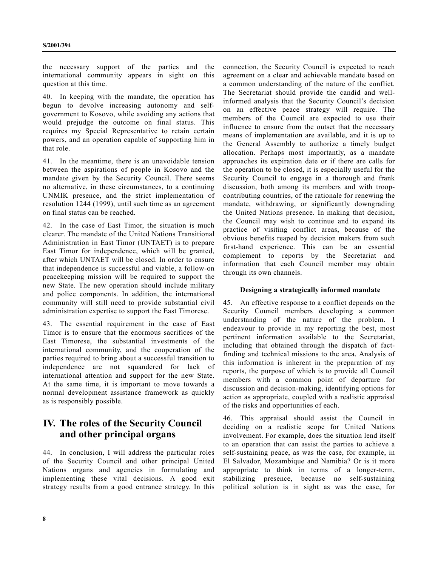the necessary support of the parties and the international community appears in sight on this question at this time.

40. In keeping with the mandate, the operation has begun to devolve increasing autonomy and selfgovernment to Kosovo, while avoiding any actions that would prejudge the outcome on final status. This requires my Special Representative to retain certain powers, and an operation capable of supporting him in that role.

41. In the meantime, there is an unavoidable tension between the aspirations of people in Kosovo and the mandate given by the Security Council. There seems no alternative, in these circumstances, to a continuing UNMIK presence, and the strict implementation of resolution 1244 (1999), until such time as an agreement on final status can be reached.

42. In the case of East Timor, the situation is much clearer. The mandate of the United Nations Transitional Administration in East Timor (UNTAET) is to prepare East Timor for independence, which will be granted, after which UNTAET will be closed. In order to ensure that independence is successful and viable, a follow-on peacekeeping mission will be required to support the new State. The new operation should include military and police components. In addition, the international community will still need to provide substantial civil administration expertise to support the East Timorese.

43. The essential requirement in the case of East Timor is to ensure that the enormous sacrifices of the East Timorese, the substantial investments of the international community, and the cooperation of the parties required to bring about a successful transition to independence are not squandered for lack of international attention and support for the new State. At the same time, it is important to move towards a normal development assistance framework as quickly as is responsibly possible.

## **IV. The roles of the Security Council and other principal organs**

44. In conclusion, I will address the particular roles of the Security Council and other principal United Nations organs and agencies in formulating and implementing these vital decisions. A good exit strategy results from a good entrance strategy. In this connection, the Security Council is expected to reach agreement on a clear and achievable mandate based on a common understanding of the nature of the conflict. The Secretariat should provide the candid and wellinformed analysis that the Security Council's decision on an effective peace strategy will require. The members of the Council are expected to use their influence to ensure from the outset that the necessary means of implementation are available, and it is up to the General Assembly to authorize a timely budget allocation. Perhaps most importantly, as a mandate approaches its expiration date or if there are calls for the operation to be closed, it is especially useful for the Security Council to engage in a thorough and frank discussion, both among its members and with troopcontributing countries, of the rationale for renewing the mandate, withdrawing, or significantly downgrading the United Nations presence. In making that decision, the Council may wish to continue and to expand its practice of visiting conflict areas, because of the obvious benefits reaped by decision makers from such first-hand experience. This can be an essential complement to reports by the Secretariat and information that each Council member may obtain through its own channels.

#### **Designing a strategically informed mandate**

45. An effective response to a conflict depends on the Security Council members developing a common understanding of the nature of the problem. I endeavour to provide in my reporting the best, most pertinent information available to the Secretariat, including that obtained through the dispatch of factfinding and technical missions to the area. Analysis of this information is inherent in the preparation of my reports, the purpose of which is to provide all Council members with a common point of departure for discussion and decision-making, identifying options for action as appropriate, coupled with a realistic appraisal of the risks and opportunities of each.

46. This appraisal should assist the Council in deciding on a realistic scope for United Nations involvement. For example, does the situation lend itself to an operation that can assist the parties to achieve a self-sustaining peace, as was the case, for example, in El Salvador, Mozambique and Namibia? Or is it more appropriate to think in terms of a longer-term, stabilizing presence, because no self-sustaining political solution is in sight as was the case, for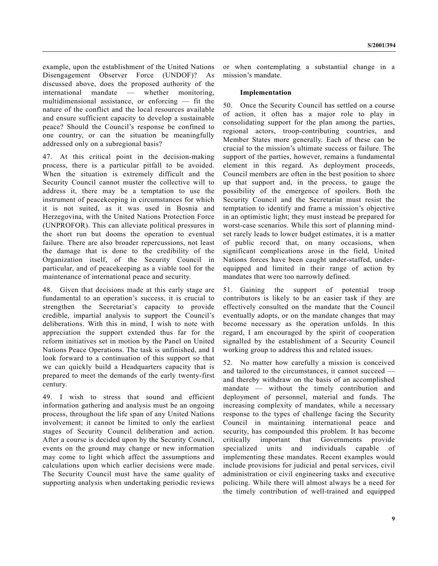example, upon the establishment of the United Nations Disengagement Observer Force (UNDOF)? As discussed above, does the proposed authority of the international mandate — whether monitoring, multidimensional assistance, or enforcing — fit the nature of the conflict and the local resources available and ensure sufficient capacity to develop a sustainable peace? Should the Council's response be confined to one country, or can the situation be meaningfully addressed only on a subregional basis?

47. At this critical point in the decision-making process, there is a particular pitfall to be avoided. When the situation is extremely difficult and the Security Council cannot muster the collective will to address it, there may be a temptation to use the instrument of peacekeeping in circumstances for which it is not suited, as it was used in Bosnia and Herzegovina, with the United Nations Protection Force (UNPROFOR). This can alleviate political pressures in the short run but dooms the operation to eventual failure. There are also broader repercussions, not least the damage that is done to the credibility of the Organization itself, of the Security Council in particular, and of peacekeeping as a viable tool for the maintenance of international peace and security.

48. Given that decisions made at this early stage are fundamental to an operation's success, it is crucial to strengthen the Secretariat's capacity to provide credible, impartial analysis to support the Council's deliberations. With this in mind, I wish to note with appreciation the support extended thus far for the reform initiatives set in motion by the Panel on United Nations Peace Operations. The task is unfinished, and I look forward to a continuation of this support so that we can quickly build a Headquarters capacity that is prepared to meet the demands of the early twenty-first century.

49. I wish to stress that sound and efficient information gathering and analysis must be an ongoing process, throughout the life span of any United Nations involvement; it cannot be limited to only the earliest stages of Security Council deliberation and action. After a course is decided upon by the Security Council, events on the ground may change or new information may come to light which affect the assumptions and calculations upon which earlier decisions were made. The Security Council must have the same quality of supporting analysis when undertaking periodic reviews

or when contemplating a substantial change in a mission's mandate.

#### **Implementation**

50. Once the Security Council has settled on a course of action, it often has a major role to play in consolidating support for the plan among the parties, regional actors, troop-contributing countries, and Member States more generally. Each of these can be crucial to the mission's ultimate success or failure. The support of the parties, however, remains a fundamental element in this regard. As deployment proceeds, Council members are often in the best position to shore up that support and, in the process, to gauge the possibility of the emergence of spoilers. Both the Security Council and the Secretariat must resist the temptation to identify and frame a mission's objective in an optimistic light; they must instead be prepared for worst-case scenarios. While this sort of planning mindset rarely leads to lower budget estimates, it is a matter of public record that, on many occasions, when significant complications arose in the field, United Nations forces have been caught under-staffed, underequipped and limited in their range of action by mandates that were too narrowly defined.

51. Gaining the support of potential troop contributors is likely to be an easier task if they are effectively consulted on the mandate that the Council eventually adopts, or on the mandate changes that may become necessary as the operation unfolds. In this regard, I am encouraged by the spirit of cooperation signalled by the establishment of a Security Council working group to address this and related issues.

52. No matter how carefully a mission is conceived and tailored to the circumstances, it cannot succeed and thereby withdraw on the basis of an accomplished mandate — without the timely contribution and deployment of personnel, material and funds. The increasing complexity of mandates, while a necessary response to the types of challenge facing the Security Council in maintaining international peace and security, has compounded this problem. It has become critically important that Governments provide specialized units and individuals capable of implementing these mandates. Recent examples would include provisions for judicial and penal services, civil administration or civil engineering tasks and executive policing. While there will almost always be a need for the timely contribution of well-trained and equipped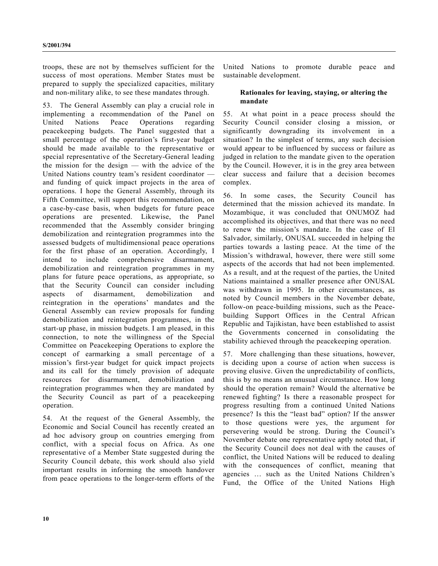troops, these are not by themselves sufficient for the success of most operations. Member States must be prepared to supply the specialized capacities, military and non-military alike, to see these mandates through.

53. The General Assembly can play a crucial role in implementing a recommendation of the Panel on United Nations Peace Operations regarding peacekeeping budgets. The Panel suggested that a small percentage of the operation's first-year budget should be made available to the representative or special representative of the Secretary-General leading the mission for the design — with the advice of the United Nations country team's resident coordinator and funding of quick impact projects in the area of operations. I hope the General Assembly, through its Fifth Committee, will support this recommendation, on a case-by-case basis, when budgets for future peace operations are presented. Likewise, the Panel recommended that the Assembly consider bringing demobilization and reintegration programmes into the assessed budgets of multidimensional peace operations for the first phase of an operation. Accordingly, I intend to include comprehensive disarmament, demobilization and reintegration programmes in my plans for future peace operations, as appropriate, so that the Security Council can consider including aspects of disarmament, demobilization and reintegration in the operations' mandates and the General Assembly can review proposals for funding demobilization and reintegration programmes, in the start-up phase, in mission budgets. I am pleased, in this connection, to note the willingness of the Special Committee on Peacekeeping Operations to explore the concept of earmarking a small percentage of a mission's first-year budget for quick impact projects and its call for the timely provision of adequate resources for disarmament, demobilization and reintegration programmes when they are mandated by the Security Council as part of a peacekeeping operation.

54. At the request of the General Assembly, the Economic and Social Council has recently created an ad hoc advisory group on countries emerging from conflict, with a special focus on Africa. As one representative of a Member State suggested during the Security Council debate, this work should also yield important results in informing the smooth handover from peace operations to the longer-term efforts of the

United Nations to promote durable peace and sustainable development.

#### **Rationales for leaving, staying, or altering the mandate**

55. At what point in a peace process should the Security Council consider closing a mission, or significantly downgrading its involvement in a situation? In the simplest of terms, any such decision would appear to be influenced by success or failure as judged in relation to the mandate given to the operation by the Council. However, it is in the grey area between clear success and failure that a decision becomes complex.

56. In some cases, the Security Council has determined that the mission achieved its mandate. In Mozambique, it was concluded that ONUMOZ had accomplished its objectives, and that there was no need to renew the mission's mandate. In the case of El Salvador, similarly, ONUSAL succeeded in helping the parties towards a lasting peace. At the time of the Mission's withdrawal, however, there were still some aspects of the accords that had not been implemented. As a result, and at the request of the parties, the United Nations maintained a smaller presence after ONUSAL was withdrawn in 1995. In other circumstances, as noted by Council members in the November debate, follow-on peace-building missions, such as the Peacebuilding Support Offices in the Central African Republic and Tajikistan, have been established to assist the Governments concerned in consolidating the stability achieved through the peacekeeping operation.

57. More challenging than these situations, however, is deciding upon a course of action when success is proving elusive. Given the unpredictability of conflicts, this is by no means an unusual circumstance. How long should the operation remain? Would the alternative be renewed fighting? Is there a reasonable prospect for progress resulting from a continued United Nations presence? Is this the "least bad" option? If the answer to those questions were yes, the argument for persevering would be strong. During the Council's November debate one representative aptly noted that, if the Security Council does not deal with the causes of conflict, the United Nations will be reduced to dealing with the consequences of conflict, meaning that agencies … such as the United Nations Children's Fund, the Office of the United Nations High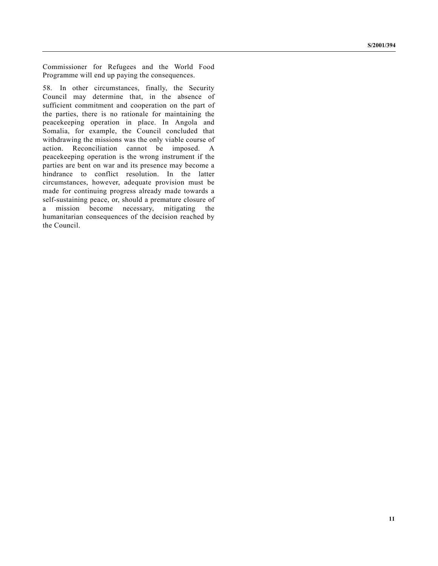Commissioner for Refugees and the World Food Programme will end up paying the consequences.

58. In other circumstances, finally, the Security Council may determine that, in the absence of sufficient commitment and cooperation on the part of the parties, there is no rationale for maintaining the peacekeeping operation in place. In Angola and Somalia, for example, the Council concluded that withdrawing the missions was the only viable course of action. Reconciliation cannot be imposed. A peacekeeping operation is the wrong instrument if the parties are bent on war and its presence may become a hindrance to conflict resolution. In the latter circumstances, however, adequate provision must be made for continuing progress already made towards a self-sustaining peace, or, should a premature closure of a mission become necessary, mitigating the humanitarian consequences of the decision reached by the Council.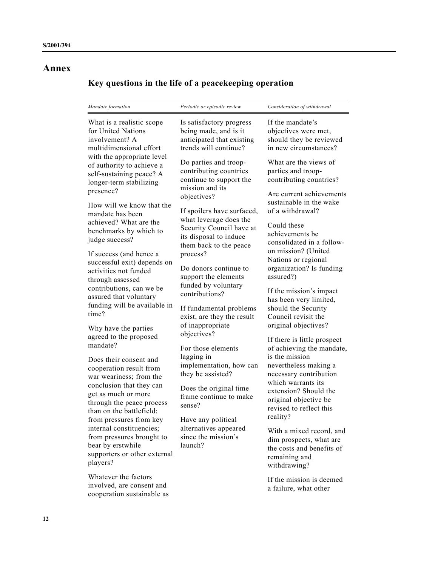# **Annex**

# **Key questions in the life of a peacekeeping operation**

| Mandate formation                                                                                                                                                                                                                                                                                                                             | Periodic or episodic review                                                                                                                                                                                                                                                                                                                                                                                                                                                                                                                | Consideration of withdrawal                                                                                                                                                                                                                                                                                                                                                                                                                                                                                                                                      |
|-----------------------------------------------------------------------------------------------------------------------------------------------------------------------------------------------------------------------------------------------------------------------------------------------------------------------------------------------|--------------------------------------------------------------------------------------------------------------------------------------------------------------------------------------------------------------------------------------------------------------------------------------------------------------------------------------------------------------------------------------------------------------------------------------------------------------------------------------------------------------------------------------------|------------------------------------------------------------------------------------------------------------------------------------------------------------------------------------------------------------------------------------------------------------------------------------------------------------------------------------------------------------------------------------------------------------------------------------------------------------------------------------------------------------------------------------------------------------------|
| What is a realistic scope<br>for United Nations<br>involvement? A<br>multidimensional effort<br>with the appropriate level<br>of authority to achieve a<br>self-sustaining peace? A<br>longer-term stabilizing<br>presence?                                                                                                                   | Is satisfactory progress<br>being made, and is it<br>anticipated that existing<br>trends will continue?                                                                                                                                                                                                                                                                                                                                                                                                                                    | If the mandate's<br>objectives were met,<br>should they be reviewed<br>in new circumstances?                                                                                                                                                                                                                                                                                                                                                                                                                                                                     |
|                                                                                                                                                                                                                                                                                                                                               | Do parties and troop-<br>contributing countries<br>continue to support the<br>mission and its<br>objectives?<br>If spoilers have surfaced,<br>what leverage does the<br>Security Council have at<br>its disposal to induce<br>them back to the peace<br>process?<br>Do donors continue to<br>support the elements<br>funded by voluntary<br>contributions?<br>If fundamental problems<br>exist, are they the result<br>of inappropriate<br>objectives?<br>For those elements<br>lagging in<br>implementation, how can<br>they be assisted? | What are the views of<br>parties and troop-<br>contributing countries?<br>Are current achievements                                                                                                                                                                                                                                                                                                                                                                                                                                                               |
| How will we know that the<br>mandate has been<br>achieved? What are the<br>benchmarks by which to<br>judge success?                                                                                                                                                                                                                           |                                                                                                                                                                                                                                                                                                                                                                                                                                                                                                                                            | sustainable in the wake<br>of a withdrawal?<br>Could these<br>achievements be<br>consolidated in a follow-<br>on mission? (United<br>Nations or regional<br>organization? Is funding<br>assured?)<br>If the mission's impact<br>has been very limited,<br>should the Security<br>Council revisit the<br>original objectives?<br>If there is little prospect<br>of achieving the mandate,<br>is the mission<br>nevertheless making a<br>necessary contribution<br>which warrants its<br>extension? Should the<br>original objective be<br>revised to reflect this |
| If success (and hence a<br>successful exit) depends on<br>activities not funded<br>through assessed<br>contributions, can we be<br>assured that voluntary<br>funding will be available in<br>time?                                                                                                                                            |                                                                                                                                                                                                                                                                                                                                                                                                                                                                                                                                            |                                                                                                                                                                                                                                                                                                                                                                                                                                                                                                                                                                  |
|                                                                                                                                                                                                                                                                                                                                               |                                                                                                                                                                                                                                                                                                                                                                                                                                                                                                                                            |                                                                                                                                                                                                                                                                                                                                                                                                                                                                                                                                                                  |
| Does their consent and<br>cooperation result from<br>war weariness; from the<br>conclusion that they can<br>get as much or more<br>through the peace process<br>than on the battlefield;<br>from pressures from key<br>internal constituencies;<br>from pressures brought to<br>bear by erstwhile<br>supporters or other external<br>players? |                                                                                                                                                                                                                                                                                                                                                                                                                                                                                                                                            |                                                                                                                                                                                                                                                                                                                                                                                                                                                                                                                                                                  |
|                                                                                                                                                                                                                                                                                                                                               |                                                                                                                                                                                                                                                                                                                                                                                                                                                                                                                                            |                                                                                                                                                                                                                                                                                                                                                                                                                                                                                                                                                                  |
|                                                                                                                                                                                                                                                                                                                                               | Have any political<br>alternatives appeared<br>since the mission's<br>launch?                                                                                                                                                                                                                                                                                                                                                                                                                                                              |                                                                                                                                                                                                                                                                                                                                                                                                                                                                                                                                                                  |
| Whatever the factors<br>involved, are consent and<br>cooperation sustainable as                                                                                                                                                                                                                                                               |                                                                                                                                                                                                                                                                                                                                                                                                                                                                                                                                            | If the mission is deemed<br>a failure, what other                                                                                                                                                                                                                                                                                                                                                                                                                                                                                                                |